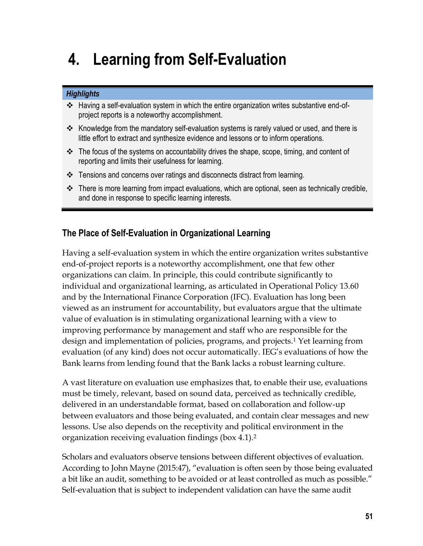# **4. Learning from Self-Evaluation**

#### *Highlights*

- Having a self-evaluation system in which the entire organization writes substantive end-ofproject reports is a noteworthy accomplishment.
- \* Knowledge from the mandatory self-evaluation systems is rarely valued or used, and there is little effort to extract and synthesize evidence and lessons or to inform operations.
- $\clubsuit$  The focus of the systems on accountability drives the shape, scope, timing, and content of reporting and limits their usefulness for learning.
- Tensions and concerns over ratings and disconnects distract from learning.
- \* There is more learning from impact evaluations, which are optional, seen as technically credible, and done in response to specific learning interests.

## **The Place of Self-Evaluation in Organizational Learning**

Having a self-evaluation system in which the entire organization writes substantive end-of-project reports is a noteworthy accomplishment, one that few other organizations can claim. In principle, this could contribute significantly to individual and organizational learning, as articulated in Operational Policy 13.60 and by the International Finance Corporation (IFC). Evaluation has long been viewed as an instrument for accountability, but evaluators argue that the ultimate value of evaluation is in stimulating organizational learning with a view to improving performance by management and staff who are responsible for the design and implementation of policies, programs, and projects.<sup>1</sup> Yet learning from evaluation (of any kind) does not occur automatically. IEG's evaluations of how the Bank learns from lending found that the Bank lacks a robust learning culture.

A vast literature on evaluation use emphasizes that, to enable their use, evaluations must be timely, relevant, based on sound data, perceived as technically credible, delivered in an understandable format, based on collaboration and follow-up between evaluators and those being evaluated, and contain clear messages and new lessons. Use also depends on the receptivity and political environment in the organization receiving evaluation findings (box 4.1).<sup>2</sup>

Scholars and evaluators observe tensions between different objectives of evaluation. According to John Mayne (2015:47), "evaluation is often seen by those being evaluated a bit like an audit, something to be avoided or at least controlled as much as possible." Self-evaluation that is subject to independent validation can have the same audit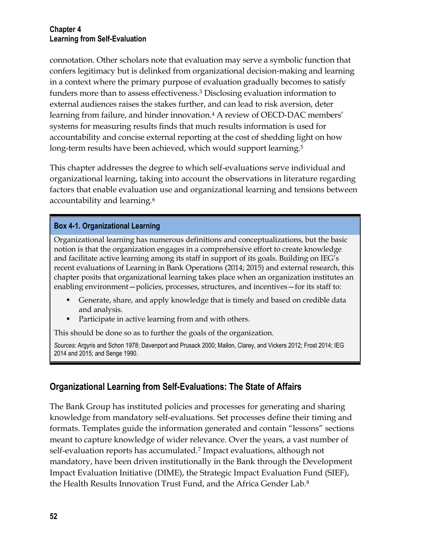connotation. Other scholars note that evaluation may serve a symbolic function that confers legitimacy but is delinked from organizational decision-making and learning in a context where the primary purpose of evaluation gradually becomes to satisfy funders more than to assess effectiveness.<sup>3</sup> Disclosing evaluation information to external audiences raises the stakes further, and can lead to risk aversion, deter learning from failure, and hinder innovation.<sup>4</sup> A review of OECD-DAC members' systems for measuring results finds that much results information is used for accountability and concise external reporting at the cost of shedding light on how long-term results have been achieved, which would support learning.<sup>5</sup>

This chapter addresses the degree to which self-evaluations serve individual and organizational learning, taking into account the observations in literature regarding factors that enable evaluation use and organizational learning and tensions between accountability and learning.<sup>6</sup>

#### **Box 4-1. Organizational Learning**

Organizational learning has numerous definitions and conceptualizations, but the basic notion is that the organization engages in a comprehensive effort to create knowledge and facilitate active learning among its staff in support of its goals. Building on IEG's recent evaluations of Learning in Bank Operations (2014; 2015) and external research, this chapter posits that organizational learning takes place when an organization institutes an enabling environment—policies, processes, structures, and incentives—for its staff to:

- Generate, share, and apply knowledge that is timely and based on credible data and analysis.
- Participate in active learning from and with others.

This should be done so as to further the goals of the organization.

*Sources:* Argyris and Schon 1978; Davenport and Prusack 2000; Mallon, Clarey, and Vickers 2012; Frost 2014; IEG 2014 and 2015; and Senge 1990.

## **Organizational Learning from Self-Evaluations: The State of Affairs**

The Bank Group has instituted policies and processes for generating and sharing knowledge from mandatory self-evaluations. Set processes define their timing and formats. Templates guide the information generated and contain "lessons" sections meant to capture knowledge of wider relevance. Over the years, a vast number of self-evaluation reports has accumulated.<sup>7</sup> Impact evaluations, although not mandatory, have been driven institutionally in the Bank through the Development Impact Evaluation Initiative (DIME), the Strategic Impact Evaluation Fund (SIEF), the Health Results Innovation Trust Fund, and the Africa Gender Lab.<sup>8</sup>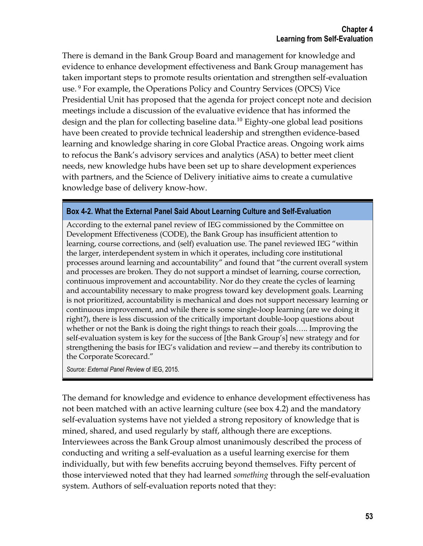There is demand in the Bank Group Board and management for knowledge and evidence to enhance development effectiveness and Bank Group management has taken important steps to promote results orientation and strengthen self-evaluation use. <sup>9</sup> For example, the Operations Policy and Country Services (OPCS) Vice Presidential Unit has proposed that the agenda for project concept note and decision meetings include a discussion of the evaluative evidence that has informed the design and the plan for collecting baseline data.<sup>10</sup> Eighty-one global lead positions have been created to provide technical leadership and strengthen evidence-based learning and knowledge sharing in core Global Practice areas. Ongoing work aims to refocus the Bank's advisory services and analytics (ASA) to better meet client needs, new knowledge hubs have been set up to share development experiences with partners, and the Science of Delivery initiative aims to create a cumulative knowledge base of delivery know-how.

#### **Box 4-2. What the External Panel Said About Learning Culture and Self-Evaluation**

According to the external panel review of IEG commissioned by the Committee on Development Effectiveness (CODE), the Bank Group has insufficient attention to learning, course corrections, and (self) evaluation use. The panel reviewed IEG "within the larger, interdependent system in which it operates, including core institutional processes around learning and accountability" and found that "the current overall system and processes are broken. They do not support a mindset of learning, course correction, continuous improvement and accountability. Nor do they create the cycles of learning and accountability necessary to make progress toward key development goals. Learning is not prioritized, accountability is mechanical and does not support necessary learning or continuous improvement, and while there is some single-loop learning (are we doing it right?), there is less discussion of the critically important double-loop questions about whether or not the Bank is doing the right things to reach their goals….. Improving the self-evaluation system is key for the success of [the Bank Group's] new strategy and for strengthening the basis for IEG's validation and review—and thereby its contribution to the Corporate Scorecard."

*Source: External Panel R*eview of IEG, 2015.

The demand for knowledge and evidence to enhance development effectiveness has not been matched with an active learning culture (see box 4.2) and the mandatory self-evaluation systems have not yielded a strong repository of knowledge that is mined, shared, and used regularly by staff, although there are exceptions. Interviewees across the Bank Group almost unanimously described the process of conducting and writing a self-evaluation as a useful learning exercise for them individually, but with few benefits accruing beyond themselves. Fifty percent of those interviewed noted that they had learned *something* through the self-evaluation system. Authors of self-evaluation reports noted that they: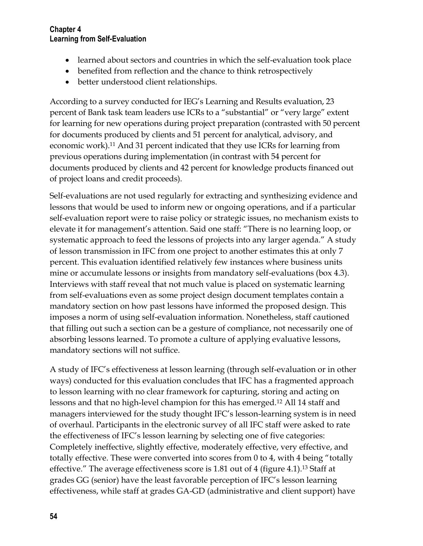- learned about sectors and countries in which the self-evaluation took place
- benefited from reflection and the chance to think retrospectively
- better understood client relationships.

According to a survey conducted for IEG's Learning and Results evaluation, 23 percent of Bank task team leaders use ICRs to a "substantial" or "very large" extent for learning for new operations during project preparation (contrasted with 50 percent for documents produced by clients and 51 percent for analytical, advisory, and economic work).<sup>11</sup> And 31 percent indicated that they use ICRs for learning from previous operations during implementation (in contrast with 54 percent for documents produced by clients and 42 percent for knowledge products financed out of project loans and credit proceeds).

Self-evaluations are not used regularly for extracting and synthesizing evidence and lessons that would be used to inform new or ongoing operations, and if a particular self-evaluation report were to raise policy or strategic issues, no mechanism exists to elevate it for management's attention. Said one staff: "There is no learning loop, or systematic approach to feed the lessons of projects into any larger agenda." A study of lesson transmission in IFC from one project to another estimates this at only 7 percent. This evaluation identified relatively few instances where business units mine or accumulate lessons or insights from mandatory self-evaluations (box 4.3). Interviews with staff reveal that not much value is placed on systematic learning from self-evaluations even as some project design document templates contain a mandatory section on how past lessons have informed the proposed design. This imposes a norm of using self-evaluation information. Nonetheless, staff cautioned that filling out such a section can be a gesture of compliance, not necessarily one of absorbing lessons learned. To promote a culture of applying evaluative lessons, mandatory sections will not suffice.

A study of IFC's effectiveness at lesson learning (through self-evaluation or in other ways) conducted for this evaluation concludes that IFC has a fragmented approach to lesson learning with no clear framework for capturing, storing and acting on lessons and that no high-level champion for this has emerged.<sup>12</sup> All 14 staff and managers interviewed for the study thought IFC's lesson-learning system is in need of overhaul. Participants in the electronic survey of all IFC staff were asked to rate the effectiveness of IFC's lesson learning by selecting one of five categories: Completely ineffective, slightly effective, moderately effective, very effective, and totally effective. These were converted into scores from 0 to 4, with 4 being "totally effective." The average effectiveness score is 1.81 out of 4 (figure 4.1). <sup>13</sup> Staff at grades GG (senior) have the least favorable perception of IFC's lesson learning effectiveness, while staff at grades GA-GD (administrative and client support) have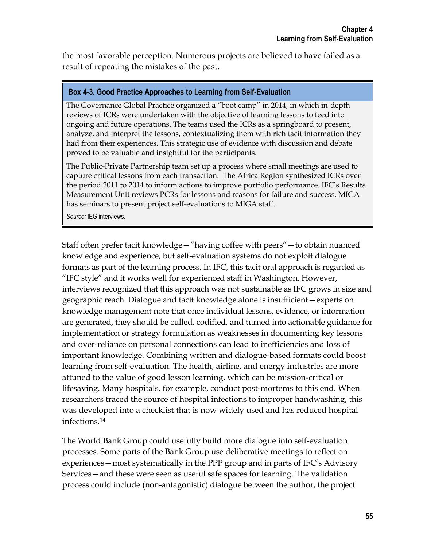the most favorable perception. Numerous projects are believed to have failed as a result of repeating the mistakes of the past.

#### **Box 4-3. Good Practice Approaches to Learning from Self-Evaluation**

The Governance Global Practice organized a "boot camp" in 2014, in which in-depth reviews of ICRs were undertaken with the objective of learning lessons to feed into ongoing and future operations. The teams used the ICRs as a springboard to present, analyze, and interpret the lessons, contextualizing them with rich tacit information they had from their experiences. This strategic use of evidence with discussion and debate proved to be valuable and insightful for the participants.

The Public-Private Partnership team set up a process where small meetings are used to capture critical lessons from each transaction. The Africa Region synthesized ICRs over the period 2011 to 2014 to inform actions to improve portfolio performance. IFC's Results Measurement Unit reviews PCRs for lessons and reasons for failure and success. MIGA has seminars to present project self-evaluations to MIGA staff.

*Source:* IEG interviews.

Staff often prefer tacit knowledge—"having coffee with peers"—to obtain nuanced knowledge and experience, but self-evaluation systems do not exploit dialogue formats as part of the learning process. In IFC, this tacit oral approach is regarded as "IFC style" and it works well for experienced staff in Washington. However, interviews recognized that this approach was not sustainable as IFC grows in size and geographic reach. Dialogue and tacit knowledge alone is insufficient—experts on knowledge management note that once individual lessons, evidence, or information are generated, they should be culled, codified, and turned into actionable guidance for implementation or strategy formulation as weaknesses in documenting key lessons and over-reliance on personal connections can lead to inefficiencies and loss of important knowledge. Combining written and dialogue-based formats could boost learning from self-evaluation. The health, airline, and energy industries are more attuned to the value of good lesson learning, which can be mission-critical or lifesaving. Many hospitals, for example, conduct post-mortems to this end. When researchers traced the source of hospital infections to improper handwashing, this was developed into a checklist that is now widely used and has reduced hospital infections. 14

The World Bank Group could usefully build more dialogue into self-evaluation processes. Some parts of the Bank Group use deliberative meetings to reflect on experiences—most systematically in the PPP group and in parts of IFC's Advisory Services—and these were seen as useful safe spaces for learning. The validation process could include (non-antagonistic) dialogue between the author, the project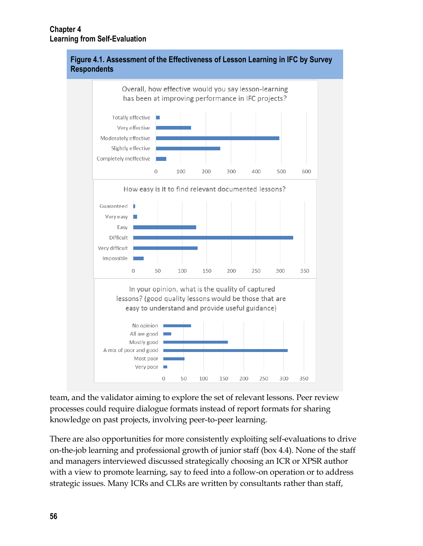

**Figure 4.1. Assessment of the Effectiveness of Lesson Learning in IFC by Survey** 

team, and the validator aiming to explore the set of relevant lessons. Peer review processes could require dialogue formats instead of report formats for sharing knowledge on past projects, involving peer-to-peer learning.

There are also opportunities for more consistently exploiting self-evaluations to drive on-the-job learning and professional growth of junior staff (box 4.4). None of the staff and managers interviewed discussed strategically choosing an ICR or XPSR author with a view to promote learning, say to feed into a follow-on operation or to address strategic issues. Many ICRs and CLRs are written by consultants rather than staff,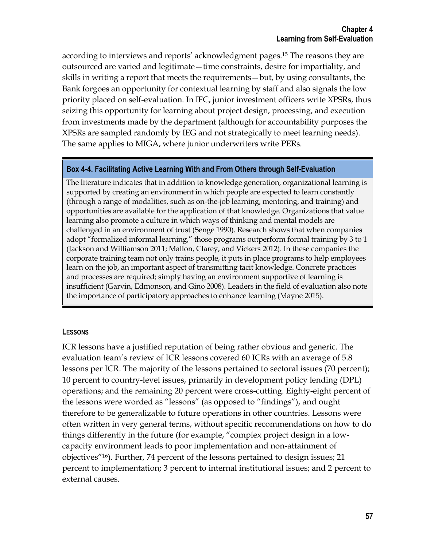according to interviews and reports' acknowledgment pages.<sup>15</sup> The reasons they are outsourced are varied and legitimate—time constraints, desire for impartiality, and skills in writing a report that meets the requirements—but, by using consultants, the Bank forgoes an opportunity for contextual learning by staff and also signals the low priority placed on self-evaluation. In IFC, junior investment officers write XPSRs, thus seizing this opportunity for learning about project design, processing, and execution from investments made by the department (although for accountability purposes the XPSRs are sampled randomly by IEG and not strategically to meet learning needs). The same applies to MIGA, where junior underwriters write PERs.

#### **Box 4-4. Facilitating Active Learning With and From Others through Self-Evaluation**

The literature indicates that in addition to knowledge generation, organizational learning is supported by creating an environment in which people are expected to learn constantly (through a range of modalities, such as on-the-job learning, mentoring, and training) and opportunities are available for the application of that knowledge. Organizations that value learning also promote a culture in which ways of thinking and mental models are challenged in an environment of trust (Senge 1990). Research shows that when companies adopt "formalized informal learning," those programs outperform formal training by 3 to 1 (Jackson and Williamson 2011; Mallon, Clarey, and Vickers 2012). In these companies the corporate training team not only trains people, it puts in place programs to help employees learn on the job, an important aspect of transmitting tacit knowledge. Concrete practices and processes are required; simply having an environment supportive of learning is insufficient (Garvin, Edmonson, and Gino 2008). Leaders in the field of evaluation also note the importance of participatory approaches to enhance learning (Mayne 2015).

#### **LESSONS**

ICR lessons have a justified reputation of being rather obvious and generic. The evaluation team's review of ICR lessons covered 60 ICRs with an average of 5.8 lessons per ICR. The majority of the lessons pertained to sectoral issues (70 percent); 10 percent to country-level issues, primarily in development policy lending (DPL) operations; and the remaining 20 percent were cross-cutting. Eighty-eight percent of the lessons were worded as "lessons" (as opposed to "findings"), and ought therefore to be generalizable to future operations in other countries. Lessons were often written in very general terms, without specific recommendations on how to do things differently in the future (for example, "complex project design in a lowcapacity environment leads to poor implementation and non-attainment of objectives"16). Further, 74 percent of the lessons pertained to design issues; 21 percent to implementation; 3 percent to internal institutional issues; and 2 percent to external causes.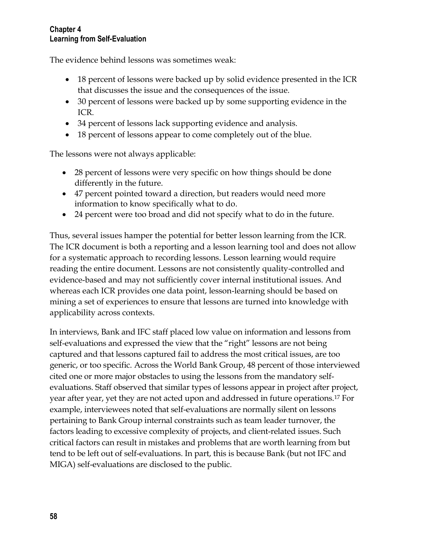The evidence behind lessons was sometimes weak:

- 18 percent of lessons were backed up by solid evidence presented in the ICR that discusses the issue and the consequences of the issue.
- 30 percent of lessons were backed up by some supporting evidence in the ICR.
- 34 percent of lessons lack supporting evidence and analysis.
- 18 percent of lessons appear to come completely out of the blue.

The lessons were not always applicable:

- 28 percent of lessons were very specific on how things should be done differently in the future.
- 47 percent pointed toward a direction, but readers would need more information to know specifically what to do.
- 24 percent were too broad and did not specify what to do in the future.

Thus, several issues hamper the potential for better lesson learning from the ICR. The ICR document is both a reporting and a lesson learning tool and does not allow for a systematic approach to recording lessons. Lesson learning would require reading the entire document. Lessons are not consistently quality-controlled and evidence-based and may not sufficiently cover internal institutional issues. And whereas each ICR provides one data point, lesson-learning should be based on mining a set of experiences to ensure that lessons are turned into knowledge with applicability across contexts.

In interviews, Bank and IFC staff placed low value on information and lessons from self-evaluations and expressed the view that the "right" lessons are not being captured and that lessons captured fail to address the most critical issues, are too generic, or too specific. Across the World Bank Group, 48 percent of those interviewed cited one or more major obstacles to using the lessons from the mandatory selfevaluations. Staff observed that similar types of lessons appear in project after project, year after year, yet they are not acted upon and addressed in future operations.<sup>17</sup> For example, interviewees noted that self-evaluations are normally silent on lessons pertaining to Bank Group internal constraints such as team leader turnover, the factors leading to excessive complexity of projects, and client-related issues. Such critical factors can result in mistakes and problems that are worth learning from but tend to be left out of self-evaluations. In part, this is because Bank (but not IFC and MIGA) self-evaluations are disclosed to the public.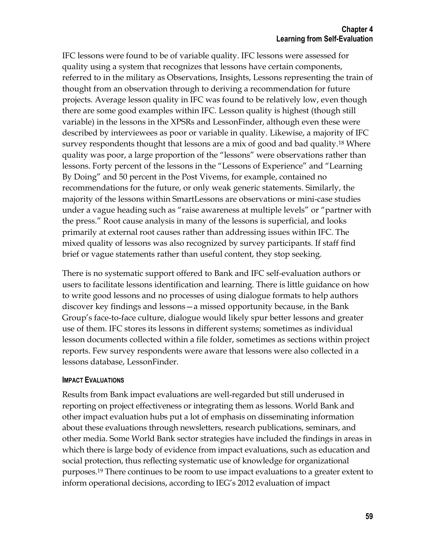IFC lessons were found to be of variable quality. IFC lessons were assessed for quality using a system that recognizes that lessons have certain components, referred to in the military as Observations, Insights, Lessons representing the train of thought from an observation through to deriving a recommendation for future projects. Average lesson quality in IFC was found to be relatively low, even though there are some good examples within IFC. Lesson quality is highest (though still variable) in the lessons in the XPSRs and LessonFinder, although even these were described by interviewees as poor or variable in quality. Likewise, a majority of IFC survey respondents thought that lessons are a mix of good and bad quality.<sup>18</sup> Where quality was poor, a large proportion of the "lessons" were observations rather than lessons. Forty percent of the lessons in the "Lessons of Experience" and "Learning By Doing" and 50 percent in the Post Vivems, for example, contained no recommendations for the future, or only weak generic statements. Similarly, the majority of the lessons within SmartLessons are observations or mini-case studies under a vague heading such as "raise awareness at multiple levels" or "partner with the press." Root cause analysis in many of the lessons is superficial, and looks primarily at external root causes rather than addressing issues within IFC. The mixed quality of lessons was also recognized by survey participants. If staff find brief or vague statements rather than useful content, they stop seeking.

There is no systematic support offered to Bank and IFC self-evaluation authors or users to facilitate lessons identification and learning. There is little guidance on how to write good lessons and no processes of using dialogue formats to help authors discover key findings and lessons—a missed opportunity because, in the Bank Group's face-to-face culture, dialogue would likely spur better lessons and greater use of them. IFC stores its lessons in different systems; sometimes as individual lesson documents collected within a file folder, sometimes as sections within project reports. Few survey respondents were aware that lessons were also collected in a lessons database, LessonFinder.

#### **IMPACT EVALUATIONS**

Results from Bank impact evaluations are well-regarded but still underused in reporting on project effectiveness or integrating them as lessons. World Bank and other impact evaluation hubs put a lot of emphasis on disseminating information about these evaluations through newsletters, research publications, seminars, and other media. Some World Bank sector strategies have included the findings in areas in which there is large body of evidence from impact evaluations, such as education and social protection, thus reflecting systematic use of knowledge for organizational purposes. <sup>19</sup> There continues to be room to use impact evaluations to a greater extent to inform operational decisions, according to IEG's 2012 evaluation of impact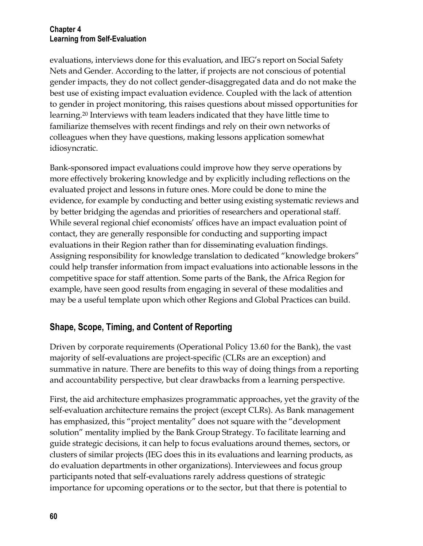evaluations, interviews done for this evaluation, and IEG's report on Social Safety Nets and Gender. According to the latter, if projects are not conscious of potential gender impacts, they do not collect gender-disaggregated data and do not make the best use of existing impact evaluation evidence. Coupled with the lack of attention to gender in project monitoring, this raises questions about missed opportunities for learning.<sup>20</sup> Interviews with team leaders indicated that they have little time to familiarize themselves with recent findings and rely on their own networks of colleagues when they have questions, making lessons application somewhat idiosyncratic.

Bank-sponsored impact evaluations could improve how they serve operations by more effectively brokering knowledge and by explicitly including reflections on the evaluated project and lessons in future ones. More could be done to mine the evidence, for example by conducting and better using existing systematic reviews and by better bridging the agendas and priorities of researchers and operational staff. While several regional chief economists' offices have an impact evaluation point of contact, they are generally responsible for conducting and supporting impact evaluations in their Region rather than for disseminating evaluation findings. Assigning responsibility for knowledge translation to dedicated "knowledge brokers" could help transfer information from impact evaluations into actionable lessons in the competitive space for staff attention. Some parts of the Bank, the Africa Region for example, have seen good results from engaging in several of these modalities and may be a useful template upon which other Regions and Global Practices can build.

# **Shape, Scope, Timing, and Content of Reporting**

Driven by corporate requirements (Operational Policy 13.60 for the Bank), the vast majority of self-evaluations are project-specific (CLRs are an exception) and summative in nature. There are benefits to this way of doing things from a reporting and accountability perspective, but clear drawbacks from a learning perspective.

First, the aid architecture emphasizes programmatic approaches, yet the gravity of the self-evaluation architecture remains the project (except CLRs). As Bank management has emphasized, this "project mentality" does not square with the "development solution" mentality implied by the Bank Group Strategy. To facilitate learning and guide strategic decisions, it can help to focus evaluations around themes, sectors, or clusters of similar projects (IEG does this in its evaluations and learning products, as do evaluation departments in other organizations). Interviewees and focus group participants noted that self-evaluations rarely address questions of strategic importance for upcoming operations or to the sector, but that there is potential to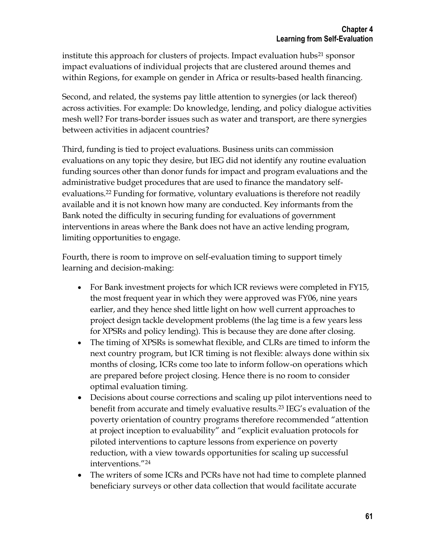institute this approach for clusters of projects. Impact evaluation hubs<sup>21</sup> sponsor impact evaluations of individual projects that are clustered around themes and within Regions, for example on gender in Africa or results-based health financing.

Second, and related, the systems pay little attention to synergies (or lack thereof) across activities. For example: Do knowledge, lending, and policy dialogue activities mesh well? For trans-border issues such as water and transport, are there synergies between activities in adjacent countries?

Third, funding is tied to project evaluations. Business units can commission evaluations on any topic they desire, but IEG did not identify any routine evaluation funding sources other than donor funds for impact and program evaluations and the administrative budget procedures that are used to finance the mandatory selfevaluations.<sup>22</sup> Funding for formative, voluntary evaluations is therefore not readily available and it is not known how many are conducted. Key informants from the Bank noted the difficulty in securing funding for evaluations of government interventions in areas where the Bank does not have an active lending program, limiting opportunities to engage.

Fourth, there is room to improve on self-evaluation timing to support timely learning and decision-making:

- For Bank investment projects for which ICR reviews were completed in FY15, the most frequent year in which they were approved was FY06, nine years earlier, and they hence shed little light on how well current approaches to project design tackle development problems (the lag time is a few years less for XPSRs and policy lending). This is because they are done after closing.
- The timing of XPSRs is somewhat flexible, and CLRs are timed to inform the next country program, but ICR timing is not flexible: always done within six months of closing, ICRs come too late to inform follow-on operations which are prepared before project closing. Hence there is no room to consider optimal evaluation timing.
- Decisions about course corrections and scaling up pilot interventions need to benefit from accurate and timely evaluative results. <sup>23</sup> IEG's evaluation of the poverty orientation of country programs therefore recommended "attention at project inception to evaluability" and "explicit evaluation protocols for piloted interventions to capture lessons from experience on poverty reduction, with a view towards opportunities for scaling up successful interventions."<sup>24</sup>
- The writers of some ICRs and PCRs have not had time to complete planned beneficiary surveys or other data collection that would facilitate accurate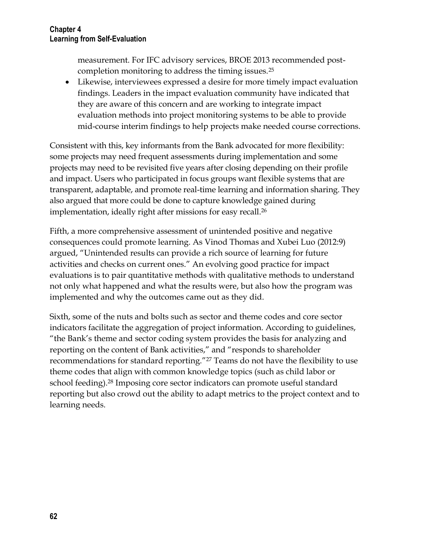measurement. For IFC advisory services, BROE 2013 recommended postcompletion monitoring to address the timing issues.<sup>25</sup>

 Likewise, interviewees expressed a desire for more timely impact evaluation findings. Leaders in the impact evaluation community have indicated that they are aware of this concern and are working to integrate impact evaluation methods into project monitoring systems to be able to provide mid-course interim findings to help projects make needed course corrections.

Consistent with this, key informants from the Bank advocated for more flexibility: some projects may need frequent assessments during implementation and some projects may need to be revisited five years after closing depending on their profile and impact. Users who participated in focus groups want flexible systems that are transparent, adaptable, and promote real-time learning and information sharing. They also argued that more could be done to capture knowledge gained during implementation, ideally right after missions for easy recall.<sup>26</sup>

Fifth, a more comprehensive assessment of unintended positive and negative consequences could promote learning. As Vinod Thomas and Xubei Luo (2012:9) argued, "Unintended results can provide a rich source of learning for future activities and checks on current ones." An evolving good practice for impact evaluations is to pair quantitative methods with qualitative methods to understand not only what happened and what the results were, but also how the program was implemented and why the outcomes came out as they did.

Sixth, some of the nuts and bolts such as sector and theme codes and core sector indicators facilitate the aggregation of project information. According to guidelines, "the Bank's theme and sector coding system provides the basis for analyzing and reporting on the content of Bank activities," and "responds to shareholder recommendations for standard reporting."<sup>27</sup> Teams do not have the flexibility to use theme codes that align with common knowledge topics (such as child labor or school feeding).<sup>28</sup> Imposing core sector indicators can promote useful standard reporting but also crowd out the ability to adapt metrics to the project context and to learning needs.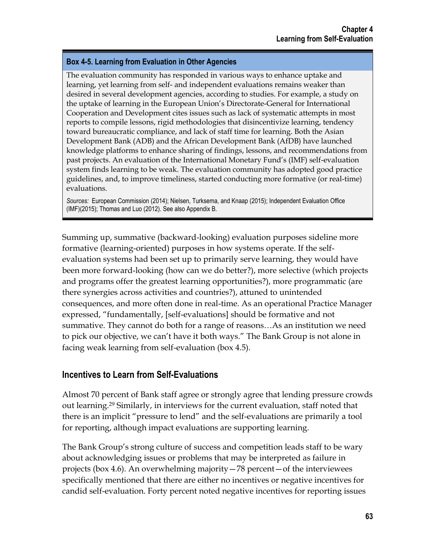#### **Box 4-5. Learning from Evaluation in Other Agencies**

The evaluation community has responded in various ways to enhance uptake and learning, yet learning from self- and independent evaluations remains weaker than desired in several development agencies, according to studies. For example, a study on the uptake of learning in the European Union's Directorate-General for International Cooperation and Development cites issues such as lack of systematic attempts in most reports to compile lessons, rigid methodologies that disincentivize learning, tendency toward bureaucratic compliance, and lack of staff time for learning. Both the Asian Development Bank (ADB) and the African Development Bank (AfDB) have launched knowledge platforms to enhance sharing of findings, lessons, and recommendations from past projects. An evaluation of the International Monetary Fund's (IMF) self-evaluation system finds learning to be weak. The evaluation community has adopted good practice guidelines, and, to improve timeliness, started conducting more formative (or real-time) evaluations.

*Sources:* European Commission (2014); Nielsen, Turksema, and Knaap (2015); Independent Evaluation Office (IMF)(2015); Thomas and Luo (2012). See also Appendix B.

Summing up, summative (backward-looking) evaluation purposes sideline more formative (learning-oriented) purposes in how systems operate. If the selfevaluation systems had been set up to primarily serve learning, they would have been more forward-looking (how can we do better?), more selective (which projects and programs offer the greatest learning opportunities?), more programmatic (are there synergies across activities and countries?), attuned to unintended consequences, and more often done in real-time. As an operational Practice Manager expressed, "fundamentally, [self-evaluations] should be formative and not summative. They cannot do both for a range of reasons…As an institution we need to pick our objective, we can't have it both ways." The Bank Group is not alone in facing weak learning from self-evaluation (box 4.5).

### **Incentives to Learn from Self-Evaluations**

Almost 70 percent of Bank staff agree or strongly agree that lending pressure crowds out learning. <sup>29</sup> Similarly, in interviews for the current evaluation, staff noted that there is an implicit "pressure to lend" and the self-evaluations are primarily a tool for reporting, although impact evaluations are supporting learning.

The Bank Group's strong culture of success and competition leads staff to be wary about acknowledging issues or problems that may be interpreted as failure in projects (box 4.6). An overwhelming majority—78 percent—of the interviewees specifically mentioned that there are either no incentives or negative incentives for candid self-evaluation. Forty percent noted negative incentives for reporting issues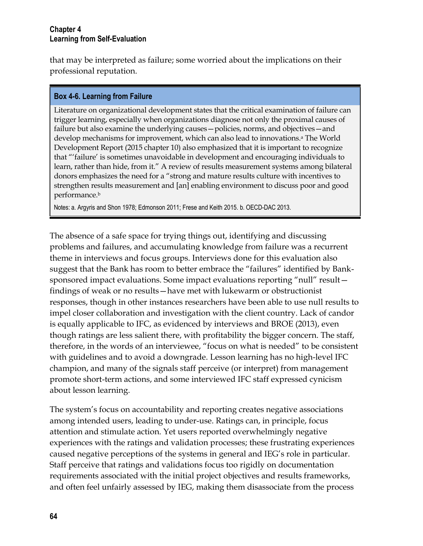that may be interpreted as failure; some worried about the implications on their professional reputation.

#### **Box 4-6. Learning from Failure**

Literature on organizational development states that the critical examination of failure can trigger learning, especially when organizations diagnose not only the proximal causes of failure but also examine the underlying causes—policies, norms, and objectives—and develop mechanisms for improvement, which can also lead to innovations.<sup>a</sup> The World Development Report (2015 chapter 10) also emphasized that it is important to recognize that "'failure' is sometimes unavoidable in development and encouraging individuals to learn, rather than hide, from it." A review of results measurement systems among bilateral donors emphasizes the need for a "strong and mature results culture with incentives to strengthen results measurement and [an] enabling environment to discuss poor and good performance.<sup>b</sup>

Notes: a. Argyris and Shon 1978; Edmonson 2011; Frese and Keith 2015. b. OECD-DAC 2013.

The absence of a safe space for trying things out, identifying and discussing problems and failures, and accumulating knowledge from failure was a recurrent theme in interviews and focus groups. Interviews done for this evaluation also suggest that the Bank has room to better embrace the "failures" identified by Banksponsored impact evaluations. Some impact evaluations reporting "null" result findings of weak or no results—have met with lukewarm or obstructionist responses, though in other instances researchers have been able to use null results to impel closer collaboration and investigation with the client country. Lack of candor is equally applicable to IFC, as evidenced by interviews and BROE (2013), even though ratings are less salient there, with profitability the bigger concern. The staff, therefore, in the words of an interviewee, "focus on what is needed" to be consistent with guidelines and to avoid a downgrade. Lesson learning has no high-level IFC champion, and many of the signals staff perceive (or interpret) from management promote short-term actions, and some interviewed IFC staff expressed cynicism about lesson learning.

The system's focus on accountability and reporting creates negative associations among intended users, leading to under-use. Ratings can, in principle, focus attention and stimulate action. Yet users reported overwhelmingly negative experiences with the ratings and validation processes; these frustrating experiences caused negative perceptions of the systems in general and IEG's role in particular. Staff perceive that ratings and validations focus too rigidly on documentation requirements associated with the initial project objectives and results frameworks, and often feel unfairly assessed by IEG, making them disassociate from the process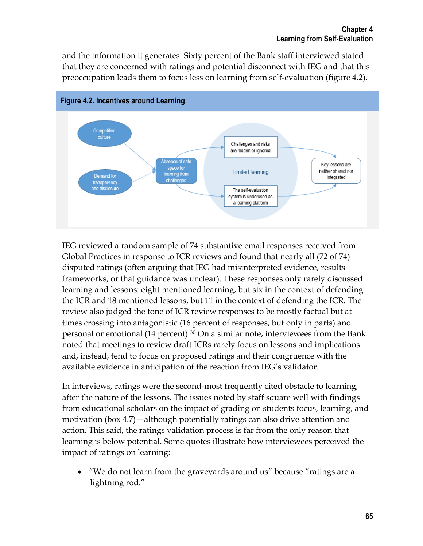and the information it generates. Sixty percent of the Bank staff interviewed stated that they are concerned with ratings and potential disconnect with IEG and that this preoccupation leads them to focus less on learning from self-evaluation (figure 4.2).



IEG reviewed a random sample of 74 substantive email responses received from Global Practices in response to ICR reviews and found that nearly all (72 of 74) disputed ratings (often arguing that IEG had misinterpreted evidence, results frameworks, or that guidance was unclear). These responses only rarely discussed learning and lessons: eight mentioned learning, but six in the context of defending the ICR and 18 mentioned lessons, but 11 in the context of defending the ICR. The review also judged the tone of ICR review responses to be mostly factual but at times crossing into antagonistic (16 percent of responses, but only in parts) and personal or emotional (14 percent).<sup>30</sup> On a similar note, interviewees from the Bank noted that meetings to review draft ICRs rarely focus on lessons and implications and, instead, tend to focus on proposed ratings and their congruence with the available evidence in anticipation of the reaction from IEG's validator.

In interviews, ratings were the second-most frequently cited obstacle to learning, after the nature of the lessons. The issues noted by staff square well with findings from educational scholars on the impact of grading on students focus, learning, and motivation (box 4.7)—although potentially ratings can also drive attention and action. This said, the ratings validation process is far from the only reason that learning is below potential. Some quotes illustrate how interviewees perceived the impact of ratings on learning:

 "We do not learn from the graveyards around us" because "ratings are a lightning rod."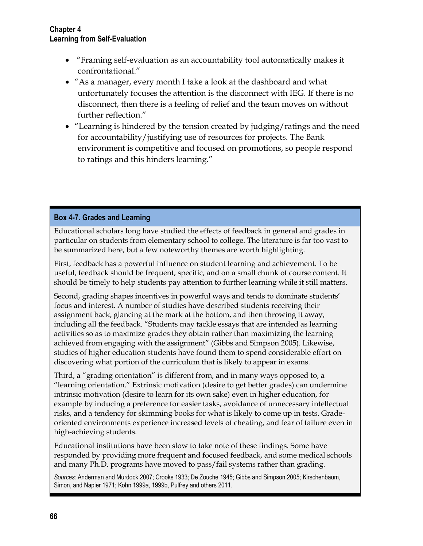- "Framing self-evaluation as an accountability tool automatically makes it confrontational."
- "As a manager, every month I take a look at the dashboard and what unfortunately focuses the attention is the disconnect with IEG. If there is no disconnect, then there is a feeling of relief and the team moves on without further reflection."
- "Learning is hindered by the tension created by judging/ratings and the need for accountability/justifying use of resources for projects. The Bank environment is competitive and focused on promotions, so people respond to ratings and this hinders learning."

#### **Box 4-7. Grades and Learning**

Educational scholars long have studied the effects of feedback in general and grades in particular on students from elementary school to college. The literature is far too vast to be summarized here, but a few noteworthy themes are worth highlighting.

First, feedback has a powerful influence on student learning and achievement. To be useful, feedback should be frequent, specific, and on a small chunk of course content. It should be timely to help students pay attention to further learning while it still matters.

Second, grading shapes incentives in powerful ways and tends to dominate students' focus and interest. A number of studies have described students receiving their assignment back, glancing at the mark at the bottom, and then throwing it away, including all the feedback. "Students may tackle essays that are intended as learning activities so as to maximize grades they obtain rather than maximizing the learning achieved from engaging with the assignment" (Gibbs and Simpson 2005). Likewise, studies of higher education students have found them to spend considerable effort on discovering what portion of the curriculum that is likely to appear in exams.

Third, a "grading orientation" is different from, and in many ways opposed to, a "learning orientation." Extrinsic motivation (desire to get better grades) can undermine intrinsic motivation (desire to learn for its own sake) even in higher education, for example by inducing a preference for easier tasks, avoidance of unnecessary intellectual risks, and a tendency for skimming books for what is likely to come up in tests. Gradeoriented environments experience increased levels of cheating, and fear of failure even in high-achieving students.

Educational institutions have been slow to take note of these findings. Some have responded by providing more frequent and focused feedback, and some medical schools and many Ph.D. programs have moved to pass/fail systems rather than grading.

*Sources:* Anderman and Murdock 2007; Crooks 1933; De Zouche 1945; Gibbs and Simpson 2005; Kirschenbaum, Simon, and Napier 1971; Kohn 1999a, 1999b, Pulfrey and others 2011.